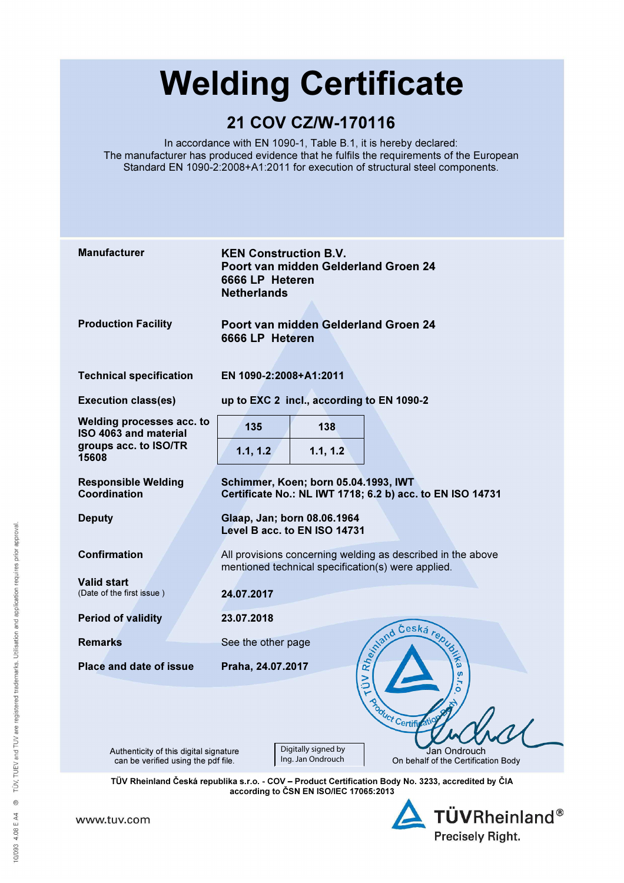# Welding Certificate

# 21 COV CZ/W-170116

In accordance with EN 1090-1, Table B.1, it is hereby declared: The manufacturer has produced evidence that he fulfils the requirements of the European Standard EN 1090-2:2008+A1:2011 for execution of structural steel components.

| <b>Manufacturer</b>                                                         | <b>KEN Construction B.V.</b><br>Poort van midden Gelderland Groen 24<br>6666 LP Heteren<br><b>Netherlands</b>     |
|-----------------------------------------------------------------------------|-------------------------------------------------------------------------------------------------------------------|
| <b>Production Facility</b>                                                  | Poort van midden Gelderland Groen 24<br>6666 LP Heteren                                                           |
| <b>Technical specification</b>                                              | EN 1090-2:2008+A1:2011                                                                                            |
| <b>Execution class(es)</b>                                                  | up to EXC 2 incl., according to EN 1090-2                                                                         |
| Welding processes acc. to<br>ISO 4063 and material<br>groups acc. to ISO/TR | 135<br>138                                                                                                        |
| 15608                                                                       | 1.1, 1.2<br>1.1, 1.2                                                                                              |
| <b>Responsible Welding</b><br>Coordination                                  | Schimmer, Koen; born 05.04.1993, IWT<br>Certificate No.: NL IWT 1718; 6.2 b) acc. to EN ISO 14731                 |
| <b>Deputy</b>                                                               | Glaap, Jan; born 08.06.1964<br>Level B acc. to EN ISO 14731                                                       |
| <b>Confirmation</b>                                                         | All provisions concerning welding as described in the above<br>mentioned technical specification(s) were applied. |
| <b>Valid start</b><br>(Date of the first issue)                             | 24.07.2017                                                                                                        |
| <b>Period of validity</b>                                                   | 23.07.2018                                                                                                        |
| <b>Remarks</b>                                                              | Relations Ceska republic<br>See the other page                                                                    |
| Place and date of issue                                                     | Praha, 24.07.2017<br>S<br>$\geq$<br>5<br>ö                                                                        |
| <b>Azoduct Certify AN</b>                                                   |                                                                                                                   |
| Authenticity of this digital signature                                      | Digitally signed by<br>Jan Ondrouch<br>Ing. Jan Ondrouch<br>On behalf of the Certification Body                   |
| can be verified using the pdf file.                                         |                                                                                                                   |

according to ČSN EN ISO/IEC 17065:2013

www.tuv.com

**TÜVRheinland®** Precisely Right.